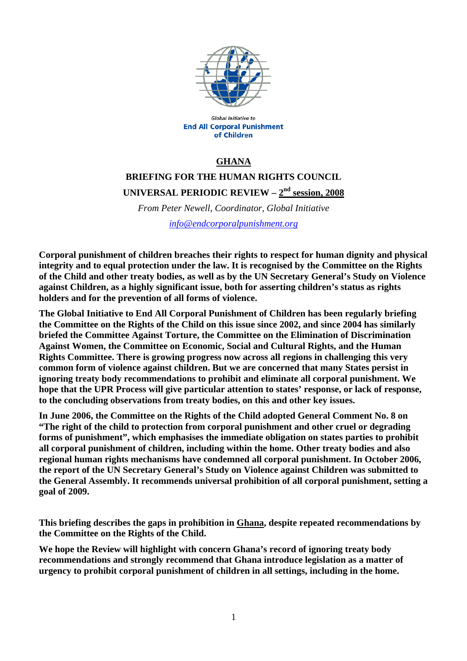

**Global Initiative to End All Corporal Punishment** of Children

## **GHANA**

# **BRIEFING FOR THE HUMAN RIGHTS COUNCIL UNIVERSAL PERIODIC REVIEW – 2nd session, 2008**

*From Peter Newell, Coordinator, Global Initiative info@endcorporalpunishment.org*

**Corporal punishment of children breaches their rights to respect for human dignity and physical integrity and to equal protection under the law. It is recognised by the Committee on the Rights of the Child and other treaty bodies, as well as by the UN Secretary General's Study on Violence against Children, as a highly significant issue, both for asserting children's status as rights holders and for the prevention of all forms of violence.** 

**The Global Initiative to End All Corporal Punishment of Children has been regularly briefing the Committee on the Rights of the Child on this issue since 2002, and since 2004 has similarly briefed the Committee Against Torture, the Committee on the Elimination of Discrimination Against Women, the Committee on Economic, Social and Cultural Rights, and the Human Rights Committee. There is growing progress now across all regions in challenging this very common form of violence against children. But we are concerned that many States persist in ignoring treaty body recommendations to prohibit and eliminate all corporal punishment. We hope that the UPR Process will give particular attention to states' response, or lack of response, to the concluding observations from treaty bodies, on this and other key issues.** 

**In June 2006, the Committee on the Rights of the Child adopted General Comment No. 8 on "The right of the child to protection from corporal punishment and other cruel or degrading forms of punishment", which emphasises the immediate obligation on states parties to prohibit all corporal punishment of children, including within the home. Other treaty bodies and also regional human rights mechanisms have condemned all corporal punishment. In October 2006, the report of the UN Secretary General's Study on Violence against Children was submitted to the General Assembly. It recommends universal prohibition of all corporal punishment, setting a goal of 2009.** 

**This briefing describes the gaps in prohibition in Ghana, despite repeated recommendations by the Committee on the Rights of the Child.** 

**We hope the Review will highlight with concern Ghana's record of ignoring treaty body recommendations and strongly recommend that Ghana introduce legislation as a matter of urgency to prohibit corporal punishment of children in all settings, including in the home.**